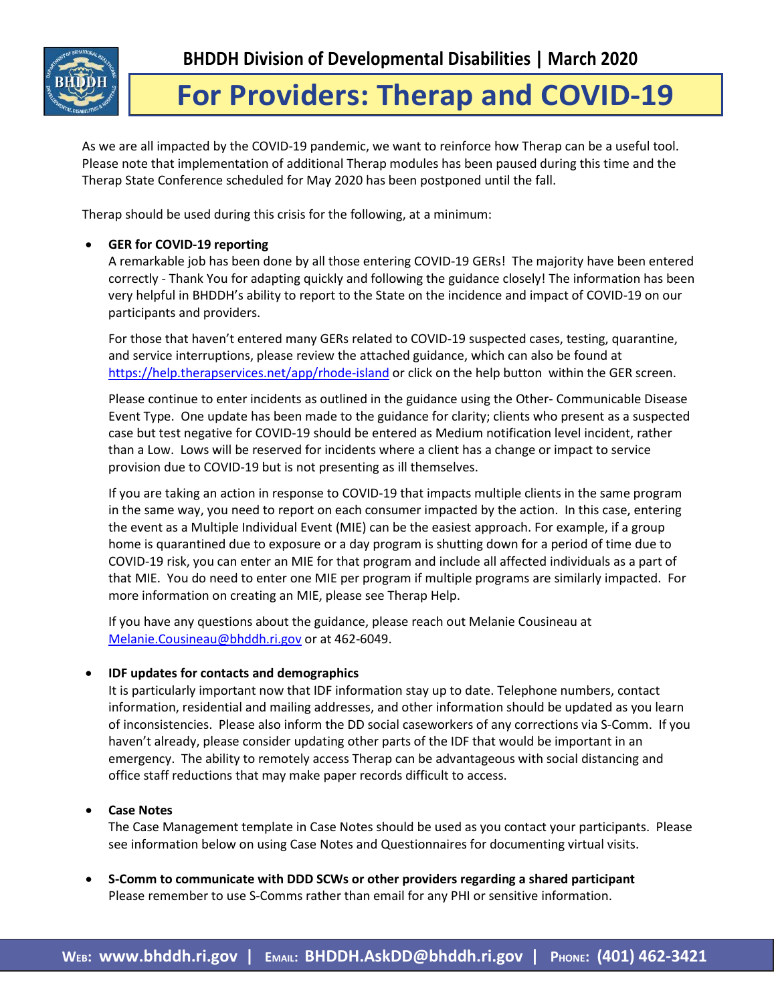

# **For Providers: Therap and COVID-19**

As we are all impacted by the COVID-19 pandemic, we want to reinforce how Therap can be a useful tool. Please note that implementation of additional Therap modules has been paused during this time and the Therap State Conference scheduled for May 2020 has been postponed until the fall.

Therap should be used during this crisis for the following, at a minimum:

## • **GER for COVID-19 reporting**

A remarkable job has been done by all those entering COVID-19 GERs! The majority have been entered correctly - Thank You for adapting quickly and following the guidance closely! The information has been very helpful in BHDDH's ability to report to the State on the incidence and impact of COVID-19 on our participants and providers.

For those that haven't entered many GERs related to COVID-19 suspected cases, testing, quarantine, and service interruptions, please review the attached guidance, which can also be found at <https://help.therapservices.net/app/rhode-island> or click on the help button within the GER screen.

Please continue to enter incidents as outlined in the guidance using the Other- Communicable Disease Event Type. One update has been made to the guidance for clarity; clients who present as a suspected case but test negative for COVID-19 should be entered as Medium notification level incident, rather than a Low. Lows will be reserved for incidents where a client has a change or impact to service provision due to COVID-19 but is not presenting as ill themselves.

If you are taking an action in response to COVID-19 that impacts multiple clients in the same program in the same way, you need to report on each consumer impacted by the action. In this case, entering the event as a Multiple Individual Event (MIE) can be the easiest approach. For example, if a group home is quarantined due to exposure or a day program is shutting down for a period of time due to COVID-19 risk, you can enter an MIE for that program and include all affected individuals as a part of that MIE. You do need to enter one MIE per program if multiple programs are similarly impacted. For more information on creating an MIE, please see Therap Help.

If you have any questions about the guidance, please reach out Melanie Cousineau at [Melanie.Cousineau@bhddh.ri.gov](mailto:Melanie.Cousineau@bhddh.ri.gov) or at 462-6049.

### • **IDF updates for contacts and demographics**

It is particularly important now that IDF information stay up to date. Telephone numbers, contact information, residential and mailing addresses, and other information should be updated as you learn of inconsistencies. Please also inform the DD social caseworkers of any corrections via S-Comm. If you haven't already, please consider updating other parts of the IDF that would be important in an emergency. The ability to remotely access Therap can be advantageous with social distancing and office staff reductions that may make paper records difficult to access.

• **Case Notes** 

The Case Management template in Case Notes should be used as you contact your participants. Please see information below on using Case Notes and Questionnaires for documenting virtual visits.

• **S-Comm to communicate with DDD SCWs or other providers regarding a shared participant** Please remember to use S-Comms rather than email for any PHI or sensitive information.